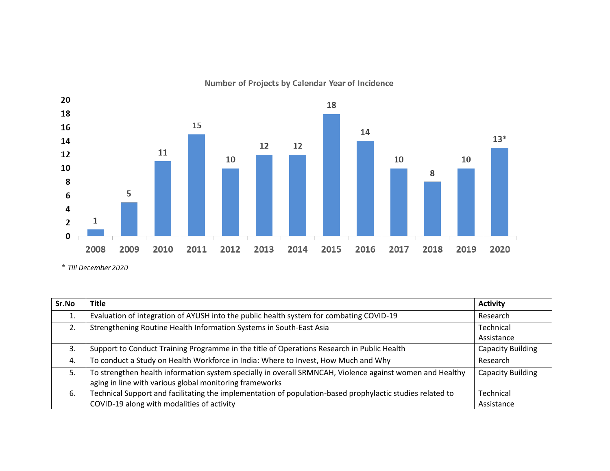

Number of Projects by Calendar Year of Incidence

| Sr.No | <b>Title</b>                                                                                              | <b>Activity</b>          |
|-------|-----------------------------------------------------------------------------------------------------------|--------------------------|
| 1.    | Evaluation of integration of AYUSH into the public health system for combating COVID-19                   | Research                 |
| 2.    | Strengthening Routine Health Information Systems in South-East Asia                                       | Technical                |
|       |                                                                                                           | Assistance               |
| 3.    | Support to Conduct Training Programme in the title of Operations Research in Public Health                | <b>Capacity Building</b> |
| 4.    | To conduct a Study on Health Workforce in India: Where to Invest, How Much and Why                        | Research                 |
| 5.    | To strengthen health information system specially in overall SRMNCAH, Violence against women and Healthy  | <b>Capacity Building</b> |
|       | aging in line with various global monitoring frameworks                                                   |                          |
| 6.    | Technical Support and facilitating the implementation of population-based prophylactic studies related to | Technical                |
|       | COVID-19 along with modalities of activity                                                                | Assistance               |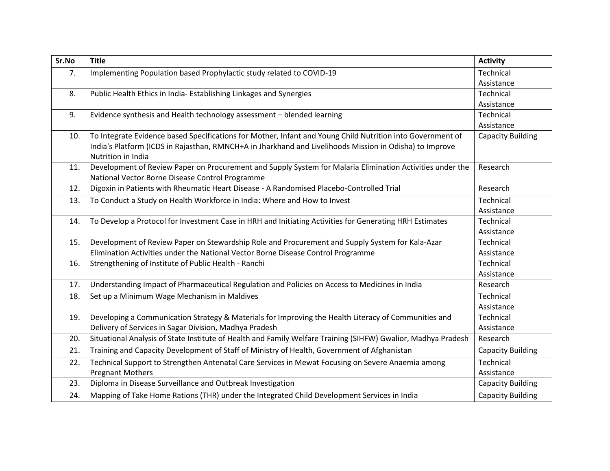| Sr.No | <b>Title</b>                                                                                                  | <b>Activity</b>          |
|-------|---------------------------------------------------------------------------------------------------------------|--------------------------|
| 7.    | Implementing Population based Prophylactic study related to COVID-19                                          | Technical                |
|       |                                                                                                               | Assistance               |
| 8.    | Public Health Ethics in India- Establishing Linkages and Synergies                                            | Technical                |
|       |                                                                                                               | Assistance               |
| 9.    | Evidence synthesis and Health technology assessment - blended learning                                        | Technical                |
|       |                                                                                                               | Assistance               |
| 10.   | To Integrate Evidence based Specifications for Mother, Infant and Young Child Nutrition into Government of    | <b>Capacity Building</b> |
|       | India's Platform (ICDS in Rajasthan, RMNCH+A in Jharkhand and Livelihoods Mission in Odisha) to Improve       |                          |
|       | Nutrition in India                                                                                            |                          |
| 11.   | Development of Review Paper on Procurement and Supply System for Malaria Elimination Activities under the     | Research                 |
|       | National Vector Borne Disease Control Programme                                                               |                          |
| 12.   | Digoxin in Patients with Rheumatic Heart Disease - A Randomised Placebo-Controlled Trial                      | Research                 |
| 13.   | To Conduct a Study on Health Workforce in India: Where and How to Invest                                      | Technical                |
|       |                                                                                                               | Assistance               |
| 14.   | To Develop a Protocol for Investment Case in HRH and Initiating Activities for Generating HRH Estimates       | Technical                |
|       |                                                                                                               | Assistance               |
| 15.   | Development of Review Paper on Stewardship Role and Procurement and Supply System for Kala-Azar               | Technical                |
|       | Elimination Activities under the National Vector Borne Disease Control Programme                              | Assistance               |
| 16.   | Strengthening of Institute of Public Health - Ranchi                                                          | Technical                |
|       |                                                                                                               | Assistance               |
| 17.   | Understanding Impact of Pharmaceutical Regulation and Policies on Access to Medicines in India                | Research                 |
| 18.   | Set up a Minimum Wage Mechanism in Maldives                                                                   | Technical                |
|       |                                                                                                               | Assistance               |
| 19.   | Developing a Communication Strategy & Materials for Improving the Health Literacy of Communities and          | Technical                |
|       | Delivery of Services in Sagar Division, Madhya Pradesh                                                        | Assistance               |
| 20.   | Situational Analysis of State Institute of Health and Family Welfare Training (SIHFW) Gwalior, Madhya Pradesh | Research                 |
| 21.   | Training and Capacity Development of Staff of Ministry of Health, Government of Afghanistan                   | <b>Capacity Building</b> |
| 22.   | Technical Support to Strengthen Antenatal Care Services in Mewat Focusing on Severe Anaemia among             | Technical                |
|       | <b>Pregnant Mothers</b>                                                                                       | Assistance               |
| 23.   | Diploma in Disease Surveillance and Outbreak Investigation                                                    | <b>Capacity Building</b> |
| 24.   | Mapping of Take Home Rations (THR) under the Integrated Child Development Services in India                   | <b>Capacity Building</b> |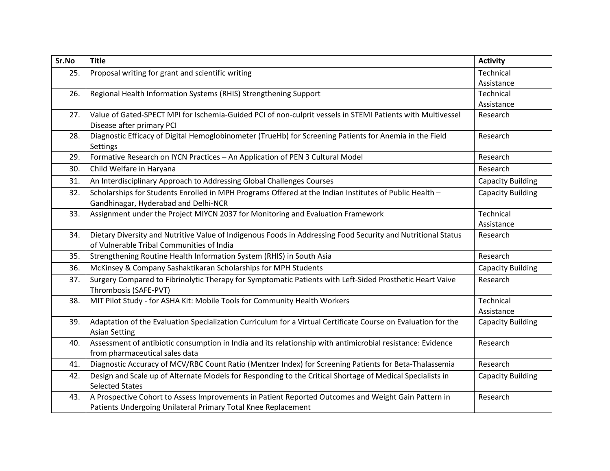| Sr.No | <b>Title</b>                                                                                                                                              | <b>Activity</b>          |
|-------|-----------------------------------------------------------------------------------------------------------------------------------------------------------|--------------------------|
| 25.   | Proposal writing for grant and scientific writing                                                                                                         | Technical                |
|       |                                                                                                                                                           | Assistance               |
| 26.   | Regional Health Information Systems (RHIS) Strengthening Support                                                                                          | Technical                |
|       |                                                                                                                                                           | Assistance               |
| 27.   | Value of Gated-SPECT MPI for Ischemia-Guided PCI of non-culprit vessels in STEMI Patients with Multivessel<br>Disease after primary PCI                   | Research                 |
| 28.   | Diagnostic Efficacy of Digital Hemoglobinometer (TrueHb) for Screening Patients for Anemia in the Field<br>Settings                                       | Research                 |
| 29.   | Formative Research on IYCN Practices - An Application of PEN 3 Cultural Model                                                                             | Research                 |
| 30.   | Child Welfare in Haryana                                                                                                                                  | Research                 |
| 31.   | An Interdisciplinary Approach to Addressing Global Challenges Courses                                                                                     | <b>Capacity Building</b> |
| 32.   | Scholarships for Students Enrolled in MPH Programs Offered at the Indian Institutes of Public Health -<br>Gandhinagar, Hyderabad and Delhi-NCR            | <b>Capacity Building</b> |
| 33.   | Assignment under the Project MIYCN 2037 for Monitoring and Evaluation Framework                                                                           | Technical<br>Assistance  |
| 34.   | Dietary Diversity and Nutritive Value of Indigenous Foods in Addressing Food Security and Nutritional Status<br>of Vulnerable Tribal Communities of India | Research                 |
| 35.   | Strengthening Routine Health Information System (RHIS) in South Asia                                                                                      | Research                 |
| 36.   | McKinsey & Company Sashaktikaran Scholarships for MPH Students                                                                                            | <b>Capacity Building</b> |
| 37.   | Surgery Compared to Fibrinolytic Therapy for Symptomatic Patients with Left-Sided Prosthetic Heart Vaive<br>Thrombosis (SAFE-PVT)                         | Research                 |
| 38.   | MIT Pilot Study - for ASHA Kit: Mobile Tools for Community Health Workers                                                                                 | Technical<br>Assistance  |
| 39.   | Adaptation of the Evaluation Specialization Curriculum for a Virtual Certificate Course on Evaluation for the<br><b>Asian Setting</b>                     | <b>Capacity Building</b> |
| 40.   | Assessment of antibiotic consumption in India and its relationship with antimicrobial resistance: Evidence                                                | Research                 |
|       | from pharmaceutical sales data                                                                                                                            |                          |
| 41.   | Diagnostic Accuracy of MCV/RBC Count Ratio (Mentzer Index) for Screening Patients for Beta-Thalassemia                                                    | Research                 |
| 42.   | Design and Scale up of Alternate Models for Responding to the Critical Shortage of Medical Specialists in                                                 | <b>Capacity Building</b> |
|       | <b>Selected States</b>                                                                                                                                    |                          |
| 43.   | A Prospective Cohort to Assess Improvements in Patient Reported Outcomes and Weight Gain Pattern in                                                       | Research                 |
|       | Patients Undergoing Unilateral Primary Total Knee Replacement                                                                                             |                          |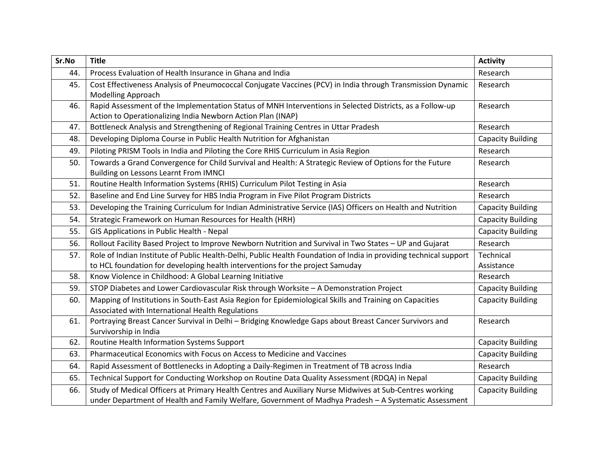| Sr.No | <b>Title</b>                                                                                                                                                                                                     | <b>Activity</b>          |
|-------|------------------------------------------------------------------------------------------------------------------------------------------------------------------------------------------------------------------|--------------------------|
| 44.   | Process Evaluation of Health Insurance in Ghana and India                                                                                                                                                        | Research                 |
| 45.   | Cost Effectiveness Analysis of Pneumococcal Conjugate Vaccines (PCV) in India through Transmission Dynamic<br><b>Modelling Approach</b>                                                                          | Research                 |
| 46.   | Rapid Assessment of the Implementation Status of MNH Interventions in Selected Districts, as a Follow-up<br>Action to Operationalizing India Newborn Action Plan (INAP)                                          | Research                 |
| 47.   | Bottleneck Analysis and Strengthening of Regional Training Centres in Uttar Pradesh                                                                                                                              | Research                 |
| 48.   | Developing Diploma Course in Public Health Nutrition for Afghanistan                                                                                                                                             | <b>Capacity Building</b> |
| 49.   | Piloting PRISM Tools in India and Piloting the Core RHIS Curriculum in Asia Region                                                                                                                               | Research                 |
| 50.   | Towards a Grand Convergence for Child Survival and Health: A Strategic Review of Options for the Future<br>Building on Lessons Learnt From IMNCI                                                                 | Research                 |
| 51.   | Routine Health Information Systems (RHIS) Curriculum Pilot Testing in Asia                                                                                                                                       | Research                 |
| 52.   | Baseline and End Line Survey for HBS India Program in Five Pilot Program Districts                                                                                                                               | Research                 |
| 53.   | Developing the Training Curriculum for Indian Administrative Service (IAS) Officers on Health and Nutrition                                                                                                      | <b>Capacity Building</b> |
| 54.   | Strategic Framework on Human Resources for Health (HRH)                                                                                                                                                          | <b>Capacity Building</b> |
| 55.   | GIS Applications in Public Health - Nepal                                                                                                                                                                        | <b>Capacity Building</b> |
| 56.   | Rollout Facility Based Project to Improve Newborn Nutrition and Survival in Two States - UP and Gujarat                                                                                                          | Research                 |
| 57.   | Role of Indian Institute of Public Health-Delhi, Public Health Foundation of India in providing technical support                                                                                                | Technical                |
|       | to HCL foundation for developing health interventions for the project Samuday                                                                                                                                    | Assistance               |
| 58.   | Know Violence in Childhood: A Global Learning Initiative                                                                                                                                                         | Research                 |
| 59.   | STOP Diabetes and Lower Cardiovascular Risk through Worksite - A Demonstration Project                                                                                                                           | <b>Capacity Building</b> |
| 60.   | Mapping of Institutions in South-East Asia Region for Epidemiological Skills and Training on Capacities<br>Associated with International Health Regulations                                                      | <b>Capacity Building</b> |
| 61.   | Portraying Breast Cancer Survival in Delhi - Bridging Knowledge Gaps about Breast Cancer Survivors and<br>Survivorship in India                                                                                  | Research                 |
| 62.   | Routine Health Information Systems Support                                                                                                                                                                       | <b>Capacity Building</b> |
| 63.   | Pharmaceutical Economics with Focus on Access to Medicine and Vaccines                                                                                                                                           | <b>Capacity Building</b> |
| 64.   | Rapid Assessment of Bottlenecks in Adopting a Daily-Regimen in Treatment of TB across India                                                                                                                      | Research                 |
| 65.   | Technical Support for Conducting Workshop on Routine Data Quality Assessment (RDQA) in Nepal                                                                                                                     | <b>Capacity Building</b> |
| 66.   | Study of Medical Officers at Primary Health Centres and Auxiliary Nurse Midwives at Sub-Centres working<br>under Department of Health and Family Welfare, Government of Madhya Pradesh - A Systematic Assessment | <b>Capacity Building</b> |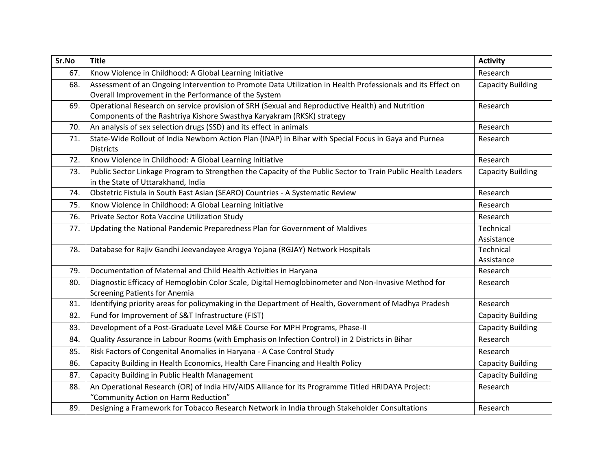| Sr.No | <b>Title</b>                                                                                                                                                        | <b>Activity</b>          |
|-------|---------------------------------------------------------------------------------------------------------------------------------------------------------------------|--------------------------|
| 67.   | Know Violence in Childhood: A Global Learning Initiative                                                                                                            | Research                 |
| 68.   | Assessment of an Ongoing Intervention to Promote Data Utilization in Health Professionals and its Effect on<br>Overall Improvement in the Performance of the System | Capacity Building        |
| 69.   | Operational Research on service provision of SRH (Sexual and Reproductive Health) and Nutrition                                                                     | Research                 |
| 70.   | Components of the Rashtriya Kishore Swasthya Karyakram (RKSK) strategy<br>An analysis of sex selection drugs (SSD) and its effect in animals                        | Research                 |
| 71.   | State-Wide Rollout of India Newborn Action Plan (INAP) in Bihar with Special Focus in Gaya and Purnea                                                               | Research                 |
|       | <b>Districts</b>                                                                                                                                                    |                          |
| 72.   | Know Violence in Childhood: A Global Learning Initiative                                                                                                            | Research                 |
| 73.   | Public Sector Linkage Program to Strengthen the Capacity of the Public Sector to Train Public Health Leaders<br>in the State of Uttarakhand, India                  | <b>Capacity Building</b> |
| 74.   | Obstetric Fistula in South East Asian (SEARO) Countries - A Systematic Review                                                                                       | Research                 |
| 75.   | Know Violence in Childhood: A Global Learning Initiative                                                                                                            | Research                 |
| 76.   | Private Sector Rota Vaccine Utilization Study                                                                                                                       | Research                 |
| 77.   | Updating the National Pandemic Preparedness Plan for Government of Maldives                                                                                         | Technical                |
|       |                                                                                                                                                                     | Assistance               |
| 78.   | Database for Rajiv Gandhi Jeevandayee Arogya Yojana (RGJAY) Network Hospitals                                                                                       | Technical                |
|       |                                                                                                                                                                     | Assistance               |
| 79.   | Documentation of Maternal and Child Health Activities in Haryana                                                                                                    | Research                 |
| 80.   | Diagnostic Efficacy of Hemoglobin Color Scale, Digital Hemoglobinometer and Non-Invasive Method for<br><b>Screening Patients for Anemia</b>                         | Research                 |
| 81.   | Identifying priority areas for policymaking in the Department of Health, Government of Madhya Pradesh                                                               | Research                 |
| 82.   | Fund for Improvement of S&T Infrastructure (FIST)                                                                                                                   | <b>Capacity Building</b> |
| 83.   | Development of a Post-Graduate Level M&E Course For MPH Programs, Phase-II                                                                                          | <b>Capacity Building</b> |
| 84.   | Quality Assurance in Labour Rooms (with Emphasis on Infection Control) in 2 Districts in Bihar                                                                      | Research                 |
| 85.   | Risk Factors of Congenital Anomalies in Haryana - A Case Control Study                                                                                              | Research                 |
| 86.   | Capacity Building in Health Economics, Health Care Financing and Health Policy                                                                                      | <b>Capacity Building</b> |
| 87.   | Capacity Building in Public Health Management                                                                                                                       | <b>Capacity Building</b> |
| 88.   | An Operational Research (OR) of India HIV/AIDS Alliance for its Programme Titled HRIDAYA Project:<br>"Community Action on Harm Reduction"                           | Research                 |
| 89.   | Designing a Framework for Tobacco Research Network in India through Stakeholder Consultations                                                                       | Research                 |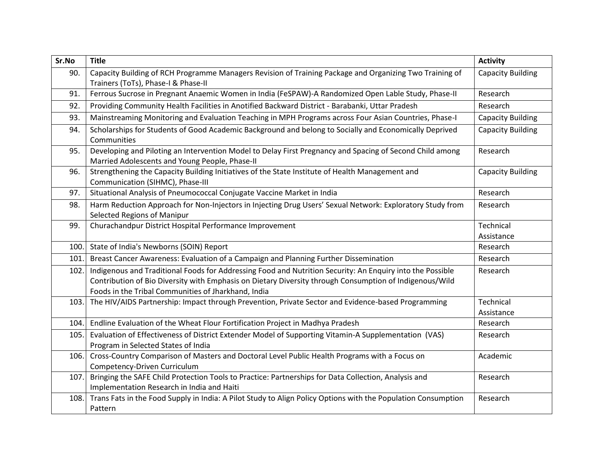| Sr.No | <b>Title</b>                                                                                                                                               | <b>Activity</b>          |
|-------|------------------------------------------------------------------------------------------------------------------------------------------------------------|--------------------------|
| 90.   | Capacity Building of RCH Programme Managers Revision of Training Package and Organizing Two Training of                                                    | <b>Capacity Building</b> |
|       | Trainers (ToTs), Phase-I & Phase-II                                                                                                                        |                          |
| 91.   | Ferrous Sucrose in Pregnant Anaemic Women in India (FeSPAW)-A Randomized Open Lable Study, Phase-II                                                        | Research                 |
| 92.   | Providing Community Health Facilities in Anotified Backward District - Barabanki, Uttar Pradesh                                                            | Research                 |
| 93.   | Mainstreaming Monitoring and Evaluation Teaching in MPH Programs across Four Asian Countries, Phase-I                                                      | <b>Capacity Building</b> |
| 94.   | Scholarships for Students of Good Academic Background and belong to Socially and Economically Deprived<br>Communities                                      | <b>Capacity Building</b> |
| 95.   | Developing and Piloting an Intervention Model to Delay First Pregnancy and Spacing of Second Child among<br>Married Adolescents and Young People, Phase-II | Research                 |
| 96.   | Strengthening the Capacity Building Initiatives of the State Institute of Health Management and<br>Communication (SIHMC), Phase-III                        | <b>Capacity Building</b> |
| 97.   | Situational Analysis of Pneumococcal Conjugate Vaccine Market in India                                                                                     | Research                 |
| 98.   | Harm Reduction Approach for Non-Injectors in Injecting Drug Users' Sexual Network: Exploratory Study from<br>Selected Regions of Manipur                   | Research                 |
| 99.   | Churachandpur District Hospital Performance Improvement                                                                                                    | Technical                |
|       |                                                                                                                                                            | Assistance               |
|       | 100. State of India's Newborns (SOIN) Report                                                                                                               | Research                 |
| 101.  | Breast Cancer Awareness: Evaluation of a Campaign and Planning Further Dissemination                                                                       | Research                 |
| 102.  | Indigenous and Traditional Foods for Addressing Food and Nutrition Security: An Enquiry into the Possible                                                  | Research                 |
|       | Contribution of Bio Diversity with Emphasis on Dietary Diversity through Consumption of Indigenous/Wild                                                    |                          |
|       | Foods in the Tribal Communities of Jharkhand, India                                                                                                        |                          |
| 103.  | The HIV/AIDS Partnership: Impact through Prevention, Private Sector and Evidence-based Programming                                                         | Technical                |
|       |                                                                                                                                                            | Assistance               |
| 104.  | Endline Evaluation of the Wheat Flour Fortification Project in Madhya Pradesh                                                                              | Research                 |
| 105.  | Evaluation of Effectiveness of District Extender Model of Supporting Vitamin-A Supplementation (VAS)                                                       | Research                 |
|       | Program in Selected States of India                                                                                                                        |                          |
| 106.  | Cross-Country Comparison of Masters and Doctoral Level Public Health Programs with a Focus on                                                              | Academic                 |
|       | Competency-Driven Curriculum                                                                                                                               |                          |
| 107.  | Bringing the SAFE Child Protection Tools to Practice: Partnerships for Data Collection, Analysis and                                                       | Research                 |
|       | Implementation Research in India and Haiti                                                                                                                 |                          |
| 108.  | Trans Fats in the Food Supply in India: A Pilot Study to Align Policy Options with the Population Consumption                                              | Research                 |
|       | Pattern                                                                                                                                                    |                          |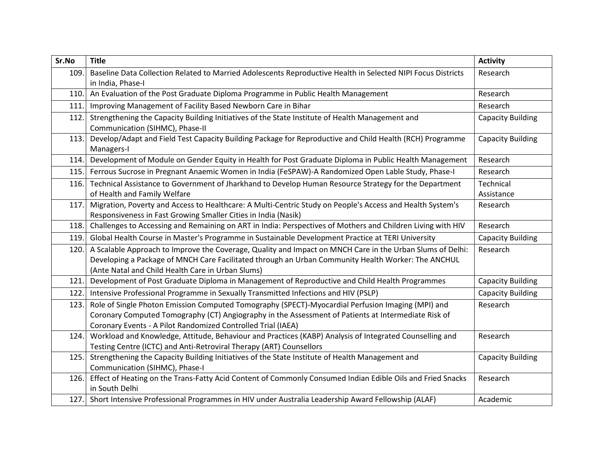| Sr.No | <b>Title</b>                                                                                                 | <b>Activity</b>          |
|-------|--------------------------------------------------------------------------------------------------------------|--------------------------|
| 109.  | Baseline Data Collection Related to Married Adolescents Reproductive Health in Selected NIPI Focus Districts | Research                 |
|       | in India, Phase-I                                                                                            |                          |
| 110.  | An Evaluation of the Post Graduate Diploma Programme in Public Health Management                             | Research                 |
| 111.  | Improving Management of Facility Based Newborn Care in Bihar                                                 | Research                 |
| 112.  | Strengthening the Capacity Building Initiatives of the State Institute of Health Management and              | <b>Capacity Building</b> |
|       | Communication (SIHMC), Phase-II                                                                              |                          |
| 113.  | Develop/Adapt and Field Test Capacity Building Package for Reproductive and Child Health (RCH) Programme     | <b>Capacity Building</b> |
|       | Managers-I                                                                                                   |                          |
| 114.  | Development of Module on Gender Equity in Health for Post Graduate Diploma in Public Health Management       | Research                 |
| 115.  | Ferrous Sucrose in Pregnant Anaemic Women in India (FeSPAW)-A Randomized Open Lable Study, Phase-I           | Research                 |
| 116.  | Technical Assistance to Government of Jharkhand to Develop Human Resource Strategy for the Department        | Technical                |
|       | of Health and Family Welfare                                                                                 | Assistance               |
| 117.  | Migration, Poverty and Access to Healthcare: A Multi-Centric Study on People's Access and Health System's    | Research                 |
|       | Responsiveness in Fast Growing Smaller Cities in India (Nasik)                                               |                          |
| 118.  | Challenges to Accessing and Remaining on ART in India: Perspectives of Mothers and Children Living with HIV  | Research                 |
| 119.  | Global Health Course in Master's Programme in Sustainable Development Practice at TERI University            | <b>Capacity Building</b> |
| 120.  | A Scalable Approach to Improve the Coverage, Quality and Impact on MNCH Care in the Urban Slums of Delhi:    | Research                 |
|       | Developing a Package of MNCH Care Facilitated through an Urban Community Health Worker: The ANCHUL           |                          |
|       | (Ante Natal and Child Health Care in Urban Slums)                                                            |                          |
| 121.  | Development of Post Graduate Diploma in Management of Reproductive and Child Health Programmes               | <b>Capacity Building</b> |
| 122.  | Intensive Professional Programme in Sexually Transmitted Infections and HIV (PSLP)                           | <b>Capacity Building</b> |
| 123.  | Role of Single Photon Emission Computed Tomography (SPECT)-Myocardial Perfusion Imaging (MPI) and            | Research                 |
|       | Coronary Computed Tomography (CT) Angiography in the Assessment of Patients at Intermediate Risk of          |                          |
|       | Coronary Events - A Pilot Randomized Controlled Trial (IAEA)                                                 |                          |
| 124.  | Workload and Knowledge, Attitude, Behaviour and Practices (KABP) Analysis of Integrated Counselling and      | Research                 |
|       | Testing Centre (ICTC) and Anti-Retroviral Therapy (ART) Counsellors                                          |                          |
| 125.  | Strengthening the Capacity Building Initiatives of the State Institute of Health Management and              | <b>Capacity Building</b> |
|       | Communication (SIHMC), Phase-I                                                                               |                          |
| 126.  | Effect of Heating on the Trans-Fatty Acid Content of Commonly Consumed Indian Edible Oils and Fried Snacks   | Research                 |
|       | in South Delhi                                                                                               |                          |
|       | 127. Short Intensive Professional Programmes in HIV under Australia Leadership Award Fellowship (ALAF)       | Academic                 |